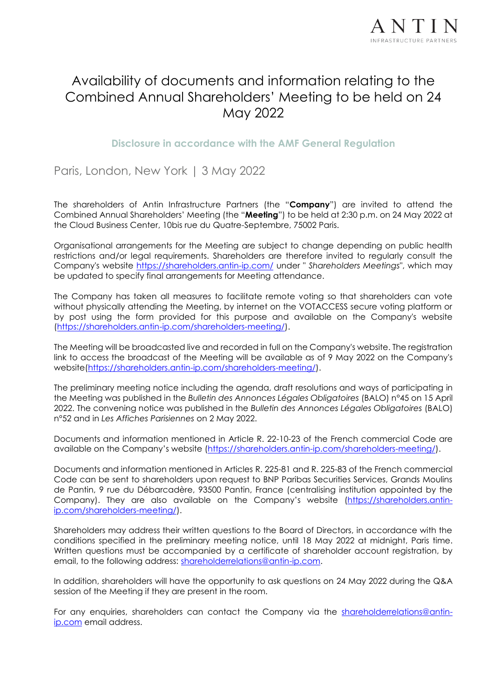

# Availability of documents and information relating to the Combined Annual Shareholders' Meeting to be held on 24 May 2022

**Disclosure in accordance with the AMF General Regulation**

Paris, London, New York | 3 May 2022

The shareholders of Antin Infrastructure Partners (the "**Company**") are invited to attend the Combined Annual Shareholders' Meeting (the "**Meeting**") to be held at 2:30 p.m. on 24 May 2022 at the Cloud Business Center, 10bis rue du Quatre-Septembre, 75002 Paris.

Organisational arrangements for the Meeting are subject to change depending on public health restrictions and/or legal requirements. Shareholders are therefore invited to regularly consult the Company's website<https://shareholders.antin-ip.com/> under " *Shareholders Meetings*", which may be updated to specify final arrangements for Meeting attendance.

The Company has taken all measures to facilitate remote voting so that shareholders can vote without physically attending the Meeting, by internet on the VOTACCESS secure voting platform or by post using the form provided for this purpose and available on the Company's website [\(https://shareholders.antin-ip.com/shareholders-meeting/\)](https://shareholders.antin-ip.com/shareholders-meeting/).

The Meeting will be broadcasted live and recorded in full on the Company's website. The registration link to access the broadcast of the Meeting will be available as of 9 May 2022 on the Company's website[\(https://shareholders.antin-ip.com/shareholders-meeting/\)](https://shareholders.antin-ip.com/shareholders-meeting/).

The preliminary meeting notice including the agenda, draft resolutions and ways of participating in the Meeting was published in the *Bulletin des Annonces Légales Obligatoires* (BALO) n°45 on 15 April 2022. The convening notice was published in the *Bulletin des Annonces Légales Obligatoires* (BALO) n°52 and in *Les Affiches Parisiennes* on 2 May 2022.

Documents and information mentioned in Article R. 22-10-23 of the French commercial Code are available on the Company's website [\(https://shareholders.antin-ip.com/shareholders-meeting/\)](https://shareholders.antin-ip.com/shareholders-meeting/).

Documents and information mentioned in Articles R. 225-81 and R. 225-83 of the French commercial Code can be sent to shareholders upon request to BNP Paribas Securities Services, Grands Moulins de Pantin, 9 rue du Débarcadère, 93500 Pantin, France (centralising institution appointed by the Company). They are also available on the Company's website [\(https://shareholders.antin](https://shareholders.antin-ip.com/shareholders-meeting/)[ip.com/shareholders-meeting/\)](https://shareholders.antin-ip.com/shareholders-meeting/).

Shareholders may address their written questions to the Board of Directors, in accordance with the conditions specified in the preliminary meeting notice, until 18 May 2022 at midnight, Paris time. Written questions must be accompanied by a certificate of shareholder account registration, by email, to the following address: [shareholderrelations@antin-ip.com.](mailto:shareholderrelations@antin-ip.com)

In addition, shareholders will have the opportunity to ask questions on 24 May 2022 during the Q&A session of the Meeting if they are present in the room.

For any enquiries, shareholders can contact the Company via the [shareholderrelations@antin](mailto:shareholderrelations@antin-ip.com)[ip.com](mailto:shareholderrelations@antin-ip.com) email address.